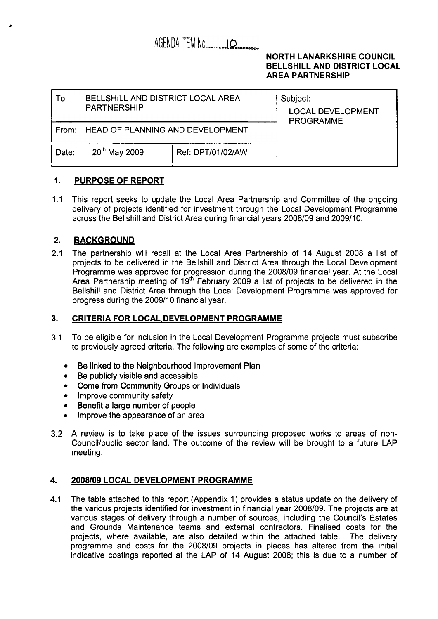# AGENDA ITEM NO. 100

### **NORTH LANARKSHIRE COUNCIL BELLSHILL AND DISTRICT LOCAL AREA PARTNERSHIP**

| To:   | BELLSHILL AND DISTRICT LOCAL AREA<br><b>PARTNERSHIP</b> |                   | Subject:<br><b>LOCAL DEVELOPMENT</b><br><b>PROGRAMME</b> |
|-------|---------------------------------------------------------|-------------------|----------------------------------------------------------|
|       | From: HEAD OF PLANNING AND DEVELOPMENT                  |                   |                                                          |
| Date: | 20 <sup>th</sup> May 2009                               | Ref: DPT/01/02/AW |                                                          |

#### **1. PURPOSE OF REPORT**

1.1 This report seeks to update the Local Area Partnership and Committee of the ongoing delivery of projects identified for investment through the Local Development Programme across the Bellshill and District Area during financial years 2008/09 and 2009/10.

#### **2. BACKGROUND**

2.1 The partnership will recall at the Local Area Partnership of 14 August 2008 a list of projects to be delivered in the Bellshill and District Area through the Local Development Programme was approved for progression during the 2008/09 financial year. At the Local Area Partnership meeting of 19<sup>th</sup> February 2009 a list of projects to be delivered in the Bellshill and District Area through the Local Development Programme was approved for progress during the 2009/10 financial year.

### **3. CRITERIA FOR LOCAL DEVELOPMENT PROGRAMME**

- 3.1 To be eligible for inclusion in the Local Development Programme projects must subscribe to previously agreed criteria. The following are examples of some of the criteria:
	- Be linked to the Neighbourhood Improvement Plan
	- Be publicly visible and accessible
	- Come from Community Groups or Individuals
	- Improve community safety
	- Benefit a large number of people
	- *0*  Improve the appearance of an area
- 3.2 A review is to take place of the issues surrounding proposed works to areas of non-Council/public sector land. The outcome of the review will be brought to a future LAP meeting.

#### **4. 2008/09 LOCAL DEVELOPMENT PROGRAMME**

4.1 The table attached to this report (Appendix 1) provides a status update on the delivery of the various projects identified for investment in financial year 2008/09. The projects are at various stages of delivery through a number of sources, including the Council's Estates and Grounds Maintenance teams and external contractors. Finalised costs for the projects, where available, are also detailed within the attached table. The delivery programme and costs for the 2008/09 projects in places has altered from the initial indicative costings reported at the LAP of 14 August 2008; this is due to a number of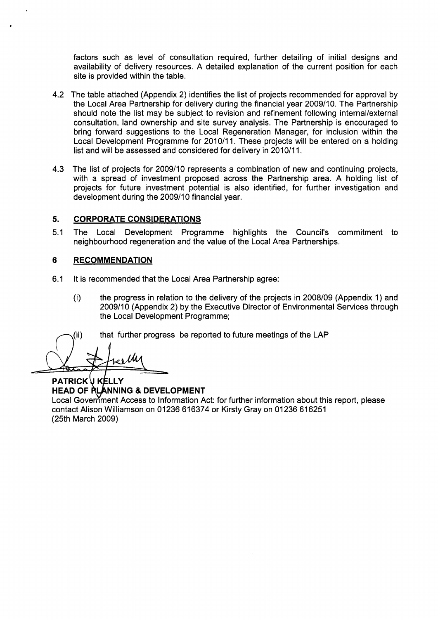factors such as level of consultation required, further detailing of initial designs and availability of delivery resources. A detailed explanation of the current position for each site is provided within the table.

- 4.2 The table attached (Appendix 2) identifies the list of projects recommended for approval by the Local Area Partnership for delivery during the financial year 2009/10. The Partnership should note the list may be subject to revision and refinement following internal/external consultation, land ownership and site survey analysis. The Partnership is encouraged to bring forward suggestions to the Local Regeneration Manager, for inclusion within the Local Development Programme for 2010/11. These projects will be entered on a holding list and will be assessed and considered for delivery in 2010/11.
- 4.3 The list of projects for 2009/10 represents a combination of new and continuing projects, with a spread of investment proposed across the Partnership area. A holding list of projects for future investment potential is also identified, for further investigation and development during the 2009/10 financial year.

### **5. CORPORATE CONSIDERATIONS**

5.1 The Local Development Programme highlights the Council's commitment to neighbourhood regeneration and the value of the Local Area Partnerships.

### **6 RECOMMENDATION**

- 6.1 It is recommended that the Local Area Partnership agree:
	- (i) the progress in relation to the delivery of the projects in 2008/09 (Appendix 1) and 2009/10 (Appendix 2) by the Executive Director of Environmental Services through the Local Development Programme;

 $(i)$  that further progress be reported to future meetings of the LAP

**PATRICK V KELLY** Local Government Access to Information Act: for further information about this report, please contact Alison Williamson on 01236 616374 or Kirsty Gray on 01236 616251 **HEAD OF RLANNING & DEVELOPMENT** 

(25th March 2009)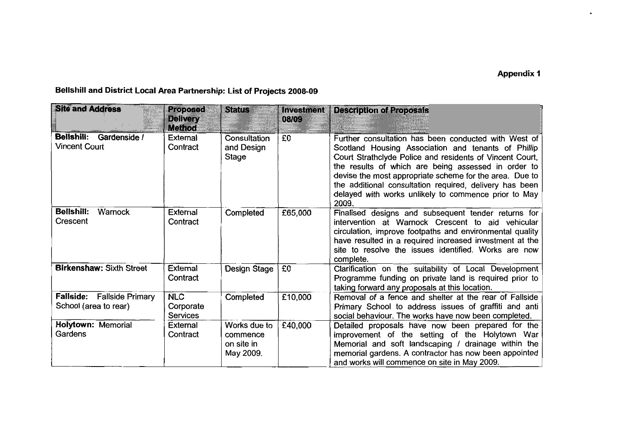| <b>Site and Address</b>                                   | <b>Proposed</b><br><b>Delivery</b><br><b>Method</b> | <b>Status</b>                                       | <b>Investment</b><br>08/09 | <b>Description of Proposals</b>                                                                                                                                                                                                                                                                                                                                                                                       |
|-----------------------------------------------------------|-----------------------------------------------------|-----------------------------------------------------|----------------------------|-----------------------------------------------------------------------------------------------------------------------------------------------------------------------------------------------------------------------------------------------------------------------------------------------------------------------------------------------------------------------------------------------------------------------|
| <b>Bellshill:</b><br>Gardenside /<br><b>Vincent Court</b> | <b>External</b><br>Contract                         | Consultation<br>and Design<br>Stage                 | £0                         | Further consultation has been conducted with West of<br>Scotland Housing Association and tenants of Phillip<br>Court Strathclyde Police and residents of Vincent Court,<br>the results of which are being assessed in order to<br>devise the most appropriate scheme for the area. Due to<br>the additional consultation required, delivery has been<br>delayed with works unlikely to commence prior to May<br>2009. |
| <b>Bellshill:</b><br>Warnock<br>Crescent                  | <b>External</b><br>Contract                         | Completed                                           | £65,000                    | Finalised designs and subsequent tender returns for<br>intervention at Warnock Crescent to aid vehicular<br>circulation, improve footpaths and environmental quality<br>have resulted in a required increased investment at the<br>site to resolve the issues identified. Works are now<br>complete.                                                                                                                  |
| <b>Birkenshaw: Sixth Street</b>                           | External<br>Contract                                | Design Stage                                        | £0                         | Clarification on the suitability of Local Development<br>Programme funding on private land is required prior to<br>taking forward any proposals at this location.                                                                                                                                                                                                                                                     |
| Fallside: Fallside Primary<br>School (area to rear)       | <b>NLC</b><br>Corporate<br><b>Services</b>          | Completed                                           | £10,000                    | Removal of a fence and shelter at the rear of Fallside<br>Primary School to address issues of graffiti and anti<br>social behaviour. The works have now been completed.                                                                                                                                                                                                                                               |
| <b>Holytown: Memorial</b><br>Gardens                      | External<br>Contract                                | Works due to<br>commence<br>on site in<br>May 2009. | £40,000                    | Detailed proposals have now been prepared for the<br>improvement of the setting of the Holytown War<br>Memorial and soft landscaping / drainage within the<br>memorial gardens. A contractor has now been appointed<br>and works will commence on site in May 2009.                                                                                                                                                   |

**Bellshill and District Local Area Partnership: List of Projects 2008-09**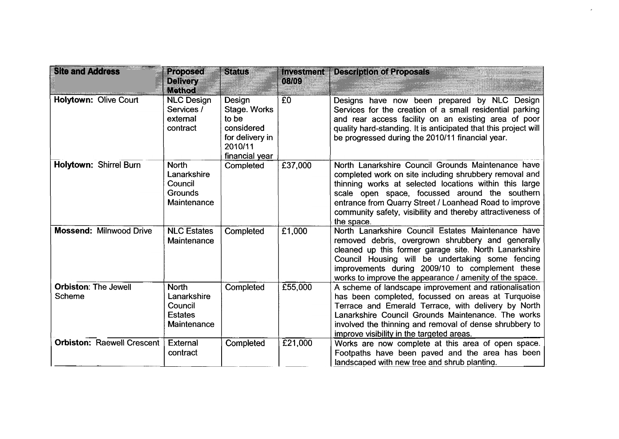| <b>Site and Address</b>               | <b>Proposed</b><br><b>Delivery</b><br><b>Method</b>                     | Status                                                                                        | Investment<br>08/09  | <b>Description of Proposals</b>                                                                                                                                                                                                                                                                                                                                |
|---------------------------------------|-------------------------------------------------------------------------|-----------------------------------------------------------------------------------------------|----------------------|----------------------------------------------------------------------------------------------------------------------------------------------------------------------------------------------------------------------------------------------------------------------------------------------------------------------------------------------------------------|
| <b>Holytown: Olive Court</b>          | <b>NLC Design</b><br>Services /<br>external<br>contract                 | Design<br>Stage. Works<br>to be<br>considered<br>for delivery in<br>2010/11<br>financial year | E <sub>0</sub>       | Designs have now been prepared by NLC Design<br>Services for the creation of a small residential parking<br>and rear access facility on an existing area of poor<br>quality hard-standing. It is anticipated that this project will<br>be progressed during the 2010/11 financial year.                                                                        |
| Holytown: Shirrel Burn                | <b>North</b><br>Lanarkshire<br>Council<br><b>Grounds</b><br>Maintenance | Completed                                                                                     | £37,000              | North Lanarkshire Council Grounds Maintenance have<br>completed work on site including shrubbery removal and<br>thinning works at selected locations within this large<br>scale open space, focussed around the southern<br>entrance from Quarry Street / Loanhead Road to improve<br>community safety, visibility and thereby attractiveness of<br>the space. |
| <b>Mossend: Milnwood Drive</b>        | <b>NLC Estates</b><br>Maintenance                                       | Completed                                                                                     | $\overline{E}$ 1,000 | North Lanarkshire Council Estates Maintenance have<br>removed debris, overgrown shrubbery and generally<br>cleaned up this former garage site. North Lanarkshire<br>Council Housing will be undertaking some fencing<br>improvements during 2009/10 to complement these<br>works to improve the appearance / amenity of the space.                             |
| <b>Orbiston: The Jewell</b><br>Scheme | <b>North</b><br>Lanarkshire<br>Council<br><b>Estates</b><br>Maintenance | Completed                                                                                     | £55,000              | A scheme of landscape improvement and rationalisation<br>has been completed, focussed on areas at Turquoise<br>Terrace and Emerald Terrace, with delivery by North<br>Lanarkshire Council Grounds Maintenance. The works<br>involved the thinning and removal of dense shrubbery to<br>improve visibility in the targeted areas.                               |
| <b>Orbiston: Raewell Crescent</b>     | External<br>contract                                                    | Completed                                                                                     | £21,000              | Works are now complete at this area of open space.<br>Footpaths have been paved and the area has been<br>landscaped with new tree and shrub planting.                                                                                                                                                                                                          |

 $\epsilon$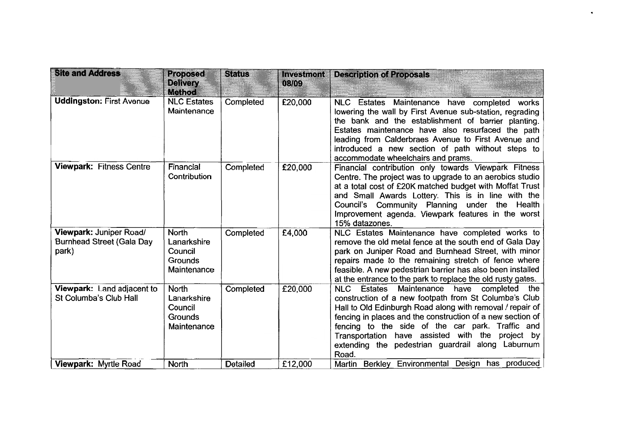| <b>Site and Address</b>                                              | <b>Proposed</b><br><b>Delivery</b>                                      | <b>Status</b>   | <b>Investment</b><br>08/09 | <b>Description of Proposals</b>                                                                                                                                                                                                                                                                                                                                                                            |
|----------------------------------------------------------------------|-------------------------------------------------------------------------|-----------------|----------------------------|------------------------------------------------------------------------------------------------------------------------------------------------------------------------------------------------------------------------------------------------------------------------------------------------------------------------------------------------------------------------------------------------------------|
| <b>Uddingston: First Avenue</b>                                      | <b>Method</b><br><b>NLC Estates</b><br>Maintenance                      | Completed       | £20,000                    | <b>Estates</b><br>Maintenance have completed<br>NLC<br>works<br>lowering the wall by First Avenue sub-station, regrading<br>the bank and the establishment of barrier planting.<br>Estates maintenance have also resurfaced the path<br>leading from Calderbraes Avenue to First Avenue and<br>introduced a new section of path without steps to<br>accommodate wheelchairs and prams.                     |
| <b>Viewpark: Fitness Centre</b>                                      | Financial<br>Contribution                                               | Completed       | £20,000                    | Financial contribution only towards Viewpark Fitness<br>Centre. The project was to upgrade to an aerobics studio<br>at a total cost of £20K matched budget with Moffat Trust<br>and Small Awards Lottery. This is in line with the<br>Council's Community Planning under the Health<br>Improvement agenda. Viewpark features in the worst<br>15% datazones.                                                |
| Viewpark: Juniper Road/<br><b>Burnhead Street (Gala Day</b><br>park) | <b>North</b><br>Lanarkshire<br>Council<br>Grounds<br>Maintenance        | Completed       | £4,000                     | NLC Estates Maintenance have completed works to<br>remove the old metal fence at the south end of Gala Day<br>park on Juniper Road and Burnhead Street, with minor<br>repairs made to the remaining stretch of fence where<br>feasible. A new pedestrian barrier has also been installed<br>at the entrance to the park to replace the old rusty gates.                                                    |
| Viewpark: Land adjacent to<br>St Columba's Club Hall                 | <b>North</b><br>Lanarkshire<br>Council<br><b>Grounds</b><br>Maintenance | Completed       | £20,000                    | NLC Estates Maintenance have completed<br>the<br>construction of a new footpath from St Columba's Club<br>Hall to Old Edinburgh Road along with removal / repair of<br>fencing in places and the construction of a new section of<br>fencing to the side of the car park. Traffic and<br>Transportation have assisted with the<br>project by<br>extending the pedestrian guardrail along Laburnum<br>Road. |
| Viewpark: Myrtle Road                                                | <b>North</b>                                                            | <b>Detailed</b> | £12,000                    | Martin Berkley Environmental Design has produced                                                                                                                                                                                                                                                                                                                                                           |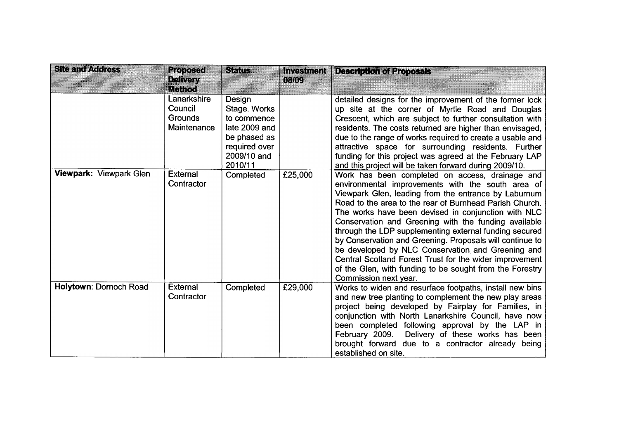| <b>Site and Address</b>       | <b>Proposed</b><br><b>Delivery</b><br>Method            | <b>Status</b>                                                                                                     | <b>Investment</b><br>08/09 | <b>Description of Proposals</b>                                                                                                                                                                                                                                                                                                                                                                                                                                                                                                                                                                                                                                   |
|-------------------------------|---------------------------------------------------------|-------------------------------------------------------------------------------------------------------------------|----------------------------|-------------------------------------------------------------------------------------------------------------------------------------------------------------------------------------------------------------------------------------------------------------------------------------------------------------------------------------------------------------------------------------------------------------------------------------------------------------------------------------------------------------------------------------------------------------------------------------------------------------------------------------------------------------------|
|                               | Lanarkshire<br>Council<br><b>Grounds</b><br>Maintenance | Design<br>Stage. Works<br>to commence<br>late 2009 and<br>be phased as<br>required over<br>2009/10 and<br>2010/11 |                            | detailed designs for the improvement of the former lock<br>up site at the corner of Myrtle Road and Douglas<br>Crescent, which are subject to further consultation with<br>residents. The costs returned are higher than envisaged,<br>due to the range of works required to create a usable and<br>attractive space for surrounding residents. Further<br>funding for this project was agreed at the February LAP<br>and this project will be taken forward during 2009/10.                                                                                                                                                                                      |
| Viewpark: Viewpark Glen       | <b>External</b><br>Contractor                           | Completed                                                                                                         | £25,000                    | Work has been completed on access, drainage and<br>environmental improvements with the south area of<br>Viewpark Glen, leading from the entrance by Laburnum<br>Road to the area to the rear of Burnhead Parish Church.<br>The works have been devised in conjunction with NLC<br>Conservation and Greening with the funding available<br>through the LDP supplementing external funding secured<br>by Conservation and Greening. Proposals will continue to<br>be developed by NLC Conservation and Greening and<br>Central Scotland Forest Trust for the wider improvement<br>of the Glen, with funding to be sought from the Forestry<br>Commission next year. |
| <b>Holytown: Dornoch Road</b> | <b>External</b><br>Contractor                           | Completed                                                                                                         | £29,000                    | Works to widen and resurface footpaths, install new bins<br>and new tree planting to complement the new play areas<br>project being developed by Fairplay for Families, in<br>conjunction with North Lanarkshire Council, have now<br>been completed following approval by the LAP in<br>February 2009.<br>Delivery of these works has been<br>brought forward due to a contractor already being<br>established on site.                                                                                                                                                                                                                                          |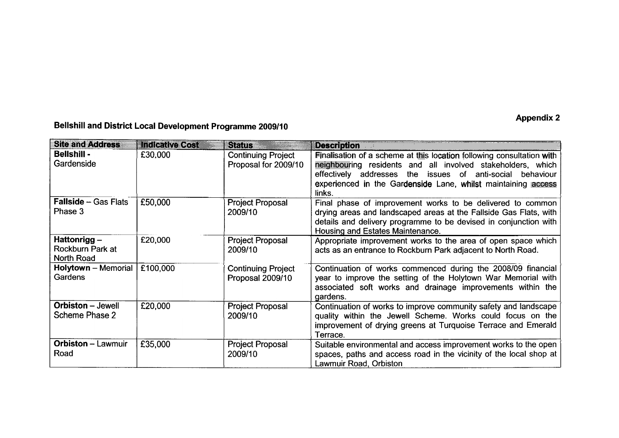## **Appendix 2**

# **Bellshill and District Local Development Programme 2009/10**

| <b>Site and Address</b>                          | <b>Indicative Cost</b> | Sams                                              | <b>Description</b>                                                                                                                                                                                                                                                           |
|--------------------------------------------------|------------------------|---------------------------------------------------|------------------------------------------------------------------------------------------------------------------------------------------------------------------------------------------------------------------------------------------------------------------------------|
| <b>Bellshill -</b><br>Gardenside                 | £30,000                | <b>Continuing Project</b><br>Proposal for 2009/10 | Finalisation of a scheme at this location following consultation with<br>neighbouring residents and all involved stakeholders, which<br>effectively addresses the issues of anti-social behaviour<br>experienced in the Gardenside Lane, whilst maintaining access<br>links. |
| <b>Fallside - Gas Flats</b><br>Phase 3           | £50,000                | <b>Project Proposal</b><br>2009/10                | Final phase of improvement works to be delivered to common<br>drying areas and landscaped areas at the Fallside Gas Flats, with<br>details and delivery programme to be devised in conjunction with<br>Housing and Estates Maintenance.                                      |
| Hattonrigg $-$<br>Rockburn Park at<br>North Road | £20,000                | <b>Project Proposal</b><br>2009/10                | Appropriate improvement works to the area of open space which<br>acts as an entrance to Rockburn Park adjacent to North Road.                                                                                                                                                |
| <b>Holytown</b> - Memorial<br><b>Gardens</b>     | £100,000               | <b>Continuing Project</b><br>Proposal 2009/10     | Continuation of works commenced during the 2008/09 financial<br>year to improve the setting of the Holytown War Memorial with<br>associated soft works and drainage improvements within the<br>gardens.                                                                      |
| <b>Orbiston</b> – Jewell<br>Scheme Phase 2       | £20,000                | <b>Project Proposal</b><br>2009/10                | Continuation of works to improve community safety and landscape<br>quality within the Jewell Scheme. Works could focus on the<br>improvement of drying greens at Turquoise Terrace and Emerald<br>Terrace.                                                                   |
| <b>Orbiston - Lawmuir</b><br>Road                | £35,000                | <b>Project Proposal</b><br>2009/10                | Suitable environmental and access improvement works to the open<br>spaces, paths and access road in the vicinity of the local shop at<br>Lawmuir Road, Orbiston                                                                                                              |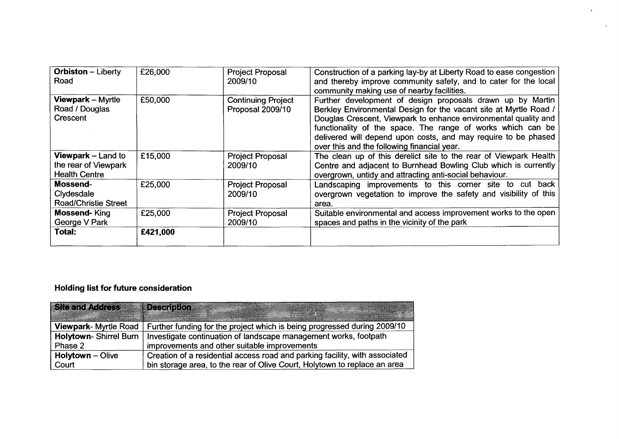| <b>Orbiston</b> – Liberty<br>Road | £26,000  | <b>Project Proposal</b><br>2009/10 | Construction of a parking lay-by at Liberty Road to ease congestion<br>and thereby improve community safety, and to cater for the local |
|-----------------------------------|----------|------------------------------------|-----------------------------------------------------------------------------------------------------------------------------------------|
|                                   |          |                                    | community making use of nearby facilities.                                                                                              |
| <b>Viewpark – Myrtle</b>          | £50,000  | <b>Continuing Project</b>          | Further development of design proposals drawn up by Martin                                                                              |
| Road / Douglas                    |          | Proposal 2009/10                   | Berkley Environmental Design for the vacant site at Myrtle Road /                                                                       |
| Crescent                          |          |                                    | Douglas Crescent, Viewpark to enhance environmental quality and                                                                         |
|                                   |          |                                    | functionality of the space. The range of works which can be                                                                             |
|                                   |          |                                    | delivered will depend upon costs, and may require to be phased                                                                          |
|                                   |          |                                    | over this and the following financial year.                                                                                             |
| <b>Viewpark</b> – Land to         | £15,000  | <b>Project Proposal</b>            | The clean up of this derelict site to the rear of Viewpark Health                                                                       |
| the rear of Viewpark              |          | 2009/10                            | Centre and adjacent to Burnhead Bowling Club which is currently                                                                         |
| <b>Health Centre</b>              |          |                                    | overgrown, untidy and attracting anti-social behaviour.                                                                                 |
| Mossend-                          | £25,000  | <b>Project Proposal</b>            | Landscaping improvements to this corner site<br>to cut back                                                                             |
| Clydesdale                        |          | 2009/10                            | overgrown vegetation to improve the safety and visibility of this                                                                       |
| <b>Road/Christie Street</b>       |          |                                    | area.                                                                                                                                   |
| <b>Mossend-King</b>               | £25,000  | <b>Project Proposal</b>            | Suitable environmental and access improvement works to the open                                                                         |
| George V Park                     |          | 2009/10                            | spaces and paths in the vicinity of the park                                                                                            |
| Total:                            | £421,000 |                                    |                                                                                                                                         |
|                                   |          |                                    |                                                                                                                                         |

 $\cdot$ 

 $\mathbf{r}^{\prime}$ 

## **Holding list for future consideration**

| Site and Address 22         | <b>Description</b>                                                          |
|-----------------------------|-----------------------------------------------------------------------------|
| <b>Viewpark-Myrtle Road</b> | Further funding for the project which is being progressed during 2009/10    |
| Holytown-Shirrel Burn       | Investigate continuation of landscape management works, footpath            |
| Phase 2                     | improvements and other suitable improvements                                |
| <b>Holytown - Olive</b>     | Creation of a residential access road and parking facility, with associated |
| Court                       | bin storage area, to the rear of Olive Court, Holytown to replace an area   |